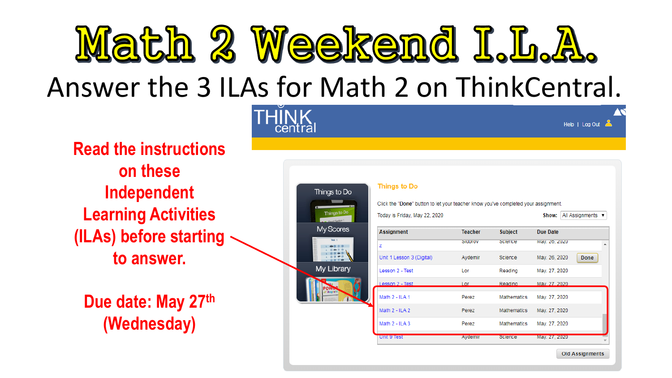

# Answer the 3 ILAs for Math 2 on ThinkCentral.

**THINK** 

**Read the instructions on these Independent Learning Activities (ILAs) before starting to answer.**

**Due date: May 27th (Wednesday)**

| Things to Do                      | <b>Things to Do</b>                                                                |                |                    |                            |  |
|-----------------------------------|------------------------------------------------------------------------------------|----------------|--------------------|----------------------------|--|
|                                   | Click the "Done" button to let your teacher know you've completed your assignment. |                |                    |                            |  |
| Things to Do<br>- pearl Section 1 | Today is Friday, May 22, 2020                                                      |                |                    | All Assignments v<br>Show: |  |
| My Scores                         | <b>Assignment</b>                                                                  | <b>Teacher</b> | <b>Subject</b>     | Due Date                   |  |
| Test 1                            | z                                                                                  | SIGOTOV        | Science            | May. Zo, ZUZU              |  |
|                                   | Unit 1 Lesson 3 (Digital)                                                          | Aydemir        | <b>Science</b>     | May. 26, 2020<br>Done      |  |
| My Library                        | Lesson 2 - Test                                                                    | Lor            | Reading            | May. 27, 2020              |  |
|                                   | Lesson 2 - Test                                                                    | Lor            | Reading            | May, 27, 2020              |  |
|                                   | Math 2 - ILA 1                                                                     | Perez          | <b>Mathematics</b> | May. 27, 2020              |  |
|                                   | Math 2 - ILA 2                                                                     | Perez          | <b>Mathematics</b> | May. 27, 2020              |  |
|                                   | Math 2 - ILA 3                                                                     | Perez          | Mathematics        | May. 27, 2020              |  |
|                                   | Unit 9 lest                                                                        | Aydemir        | Science            | May. 27, 2020              |  |

Help | Log Out  $\geq$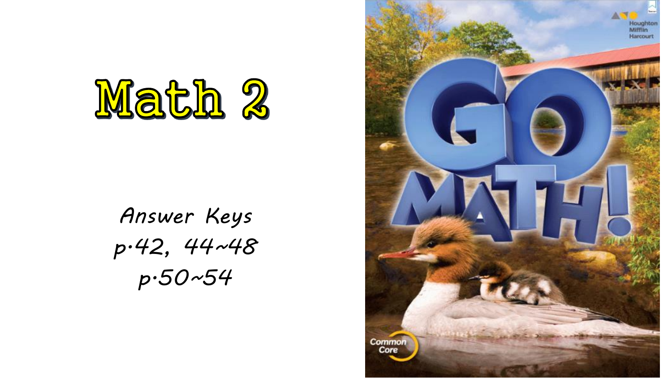

# *Answer Keys p.42, 44~48 p.50~54*

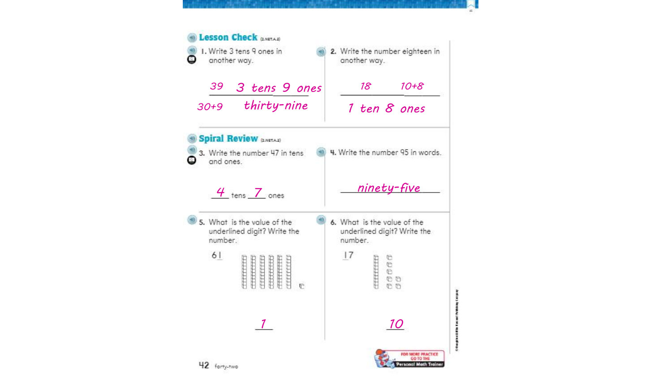### **D** Lesson Check (2.NETA2) I. Write 3 tens 9 ones in 2. Write the number eighteen in  $\circ$ another way. another way. *3 tens 9 ones 18 10+8 39 30+9 thirty-nine 1 ten 8 ones* Spiral Review (2.NETA2) 3. Write the number 47 in tens 4. Write the number 95 in words. ◎ and ones. *4 i*ens 7 ones *animety-five* 5. What is the value of the 6. What is the value of the underlined digit? Write the underlined digit? Write the number. number.  $61$  $|7$  $\begin{array}{l} \sigma \sigma \sigma \sigma \\ \sigma \end{array}$ **CELEBRATE** mmm  $\frac{1}{111111111}$  $\mathbb{F}$  $00$ *1 10*FOR MORE PRACTICE GO TO THE Personal Math Trainer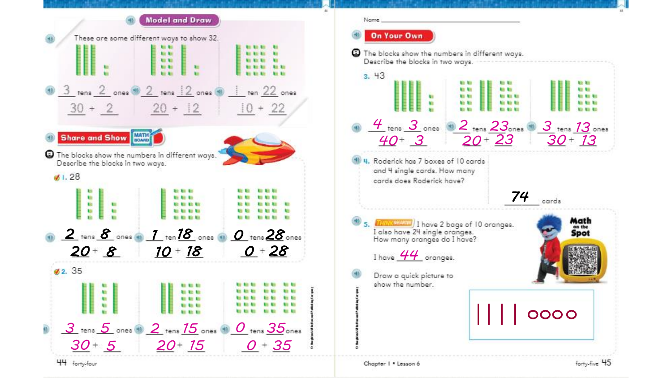

Chapter | . Lesson 6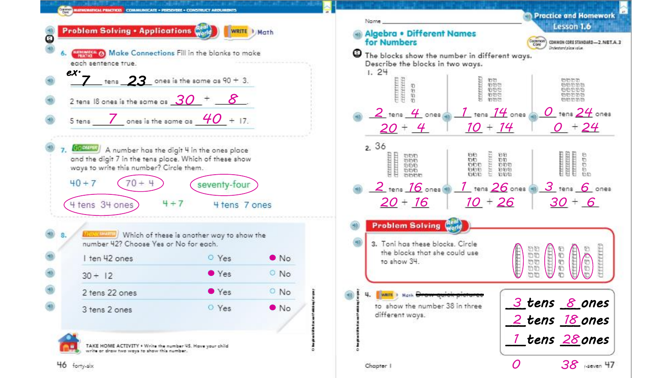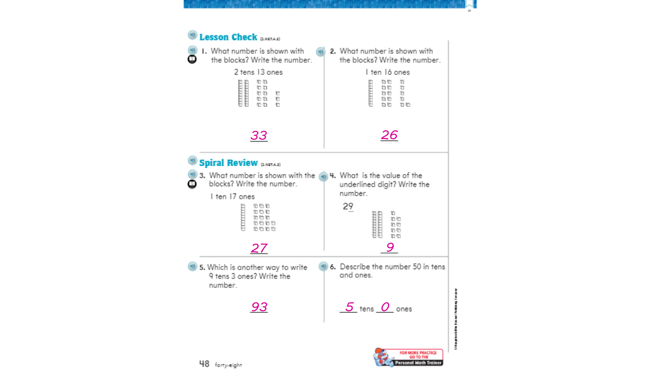

ō

Personal Math Traine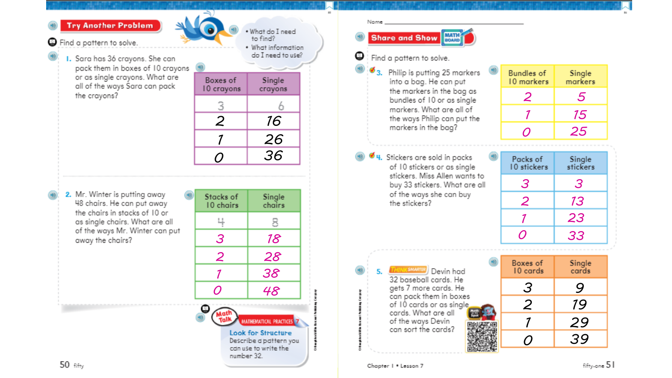### **Try Another Problem**

**O** Find a pattern to solve.

I. Sara has 36 crayons. She can pack them in boxes of 10 crayons or as single crayons. What are all of the ways Sara can pack the crayons?

| to find?<br>What information<br>do I need to use? |  |  |  |
|---------------------------------------------------|--|--|--|
| Single<br>crayons                                 |  |  |  |
|                                                   |  |  |  |
| 16                                                |  |  |  |
| 26                                                |  |  |  |
| 36                                                |  |  |  |
|                                                   |  |  |  |

. What do I need

2. Mr. Winter is putting away 48 chairs. He can put away the chairs in stacks of 10 or as single chairs. What are all of the ways Mr. Winter can put away the chairs?

| Stacks of<br>10 chairs                                                                                              | Single<br>chairs |  |  |
|---------------------------------------------------------------------------------------------------------------------|------------------|--|--|
|                                                                                                                     | 8                |  |  |
| 3                                                                                                                   | 18               |  |  |
| $\overline{2}$                                                                                                      | 28               |  |  |
| 7                                                                                                                   | 38               |  |  |
| O                                                                                                                   | 48               |  |  |
| MATHEMATICAL PRACTICES<br><b>Look for Structure</b><br>Describe a pattern you<br>can use to write the<br>number 32. |                  |  |  |

#### Name

# Share and Show

## Find a pattern to solve.

 $\mathbf{3}$ . Philip is putting 25 markers into a bag. He can put the markers in the bag as bundles of 10 or as single markers. What are all of the ways Philip can put the markers in the bag?

<sup>4</sup> 4. Stickers are sold in packs of 10 stickers or as single stickers. Miss Allen wants to buy 33 stickers. What are all of the ways she can buy the stickers?

| Bundles of<br>10 markers | Single<br>markers |
|--------------------------|-------------------|
|                          | 5.                |
|                          | 15                |
|                          | 25                |

| Packs of<br>10 stickers | Single<br>stickers |
|-------------------------|--------------------|
| З                       | 3                  |
| 2                       | <i>13</i>          |
|                         | 23                 |
| $\overline{O}$          | 33                 |

**THINKSMARTER** Devin had 32 baseball cards. He gets 7 more cards. He can pack them in boxes of 10 cards or as single. cards. What are all of the ways Devin can sort the cards?

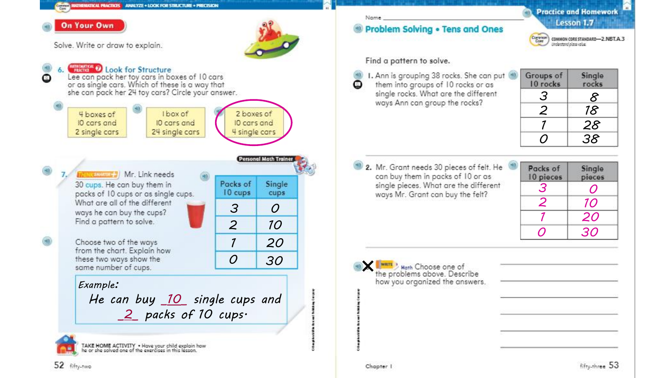